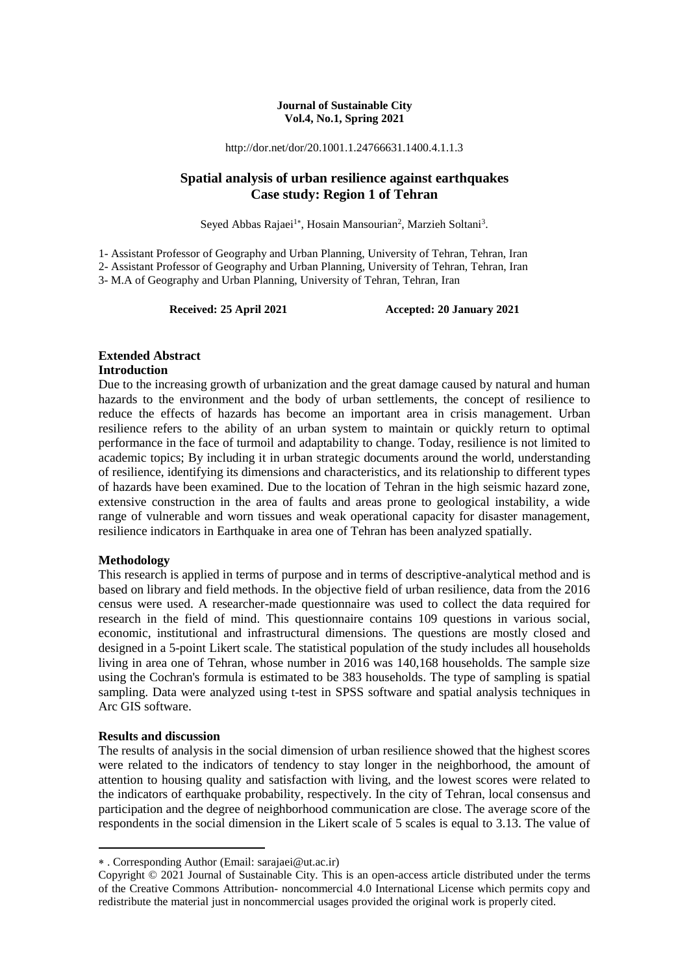#### **Journal of Sustainable City Vol.4, No.1, Spring 2021**

http://dor.net/dor/20.1001.1.24766631.1400.4.1.1.3

## **Spatial analysis of urban resilience against earthquakes Case study: Region 1 of Tehran**

Seyed Abbas Rajaei<sup>1</sup>\*, Hosain Mansourian<sup>2</sup>, Marzieh Soltani<sup>3</sup>.

1- Assistant Professor of Geography and Urban Planning, University of Tehran, Tehran, Iran 2- Assistant Professor of Geography and Urban Planning, University of Tehran, Tehran, Iran 3- M.A of Geography and Urban Planning, University of Tehran, Tehran, Iran

**Received: 25 April 2021 Accepted: 20 January 2021**

## **Extended Abstract**

#### **Introduction**

Due to the increasing growth of urbanization and the great damage caused by natural and human hazards to the environment and the body of urban settlements, the concept of resilience to reduce the effects of hazards has become an important area in crisis management. Urban resilience refers to the ability of an urban system to maintain or quickly return to optimal performance in the face of turmoil and adaptability to change. Today, resilience is not limited to academic topics; By including it in urban strategic documents around the world, understanding of resilience, identifying its dimensions and characteristics, and its relationship to different types of hazards have been examined. Due to the location of Tehran in the high seismic hazard zone, extensive construction in the area of faults and areas prone to geological instability, a wide range of vulnerable and worn tissues and weak operational capacity for disaster management, resilience indicators in Earthquake in area one of Tehran has been analyzed spatially.

#### **Methodology**

This research is applied in terms of purpose and in terms of descriptive-analytical method and is based on library and field methods. In the objective field of urban resilience, data from the 2016 census were used. A researcher-made questionnaire was used to collect the data required for research in the field of mind. This questionnaire contains 109 questions in various social, economic, institutional and infrastructural dimensions. The questions are mostly closed and designed in a 5-point Likert scale. The statistical population of the study includes all households living in area one of Tehran, whose number in 2016 was 140,168 households. The sample size using the Cochran's formula is estimated to be 383 households. The type of sampling is spatial sampling. Data were analyzed using t-test in SPSS software and spatial analysis techniques in Arc GIS software.

#### **Results and discussion**

**.** 

The results of analysis in the social dimension of urban resilience showed that the highest scores were related to the indicators of tendency to stay longer in the neighborhood, the amount of attention to housing quality and satisfaction with living, and the lowest scores were related to the indicators of earthquake probability, respectively. In the city of Tehran, local consensus and participation and the degree of neighborhood communication are close. The average score of the respondents in the social dimension in the Likert scale of 5 scales is equal to 3.13. The value of

. Corresponding Author (Email: sarajaei@ut.ac.ir)

Copyright © 2021 Journal of Sustainable City. This is an open-access article distributed under the terms of the Creative Commons Attribution- noncommercial 4.0 International License which permits copy and redistribute the material just in noncommercial usages provided the original work is properly cited.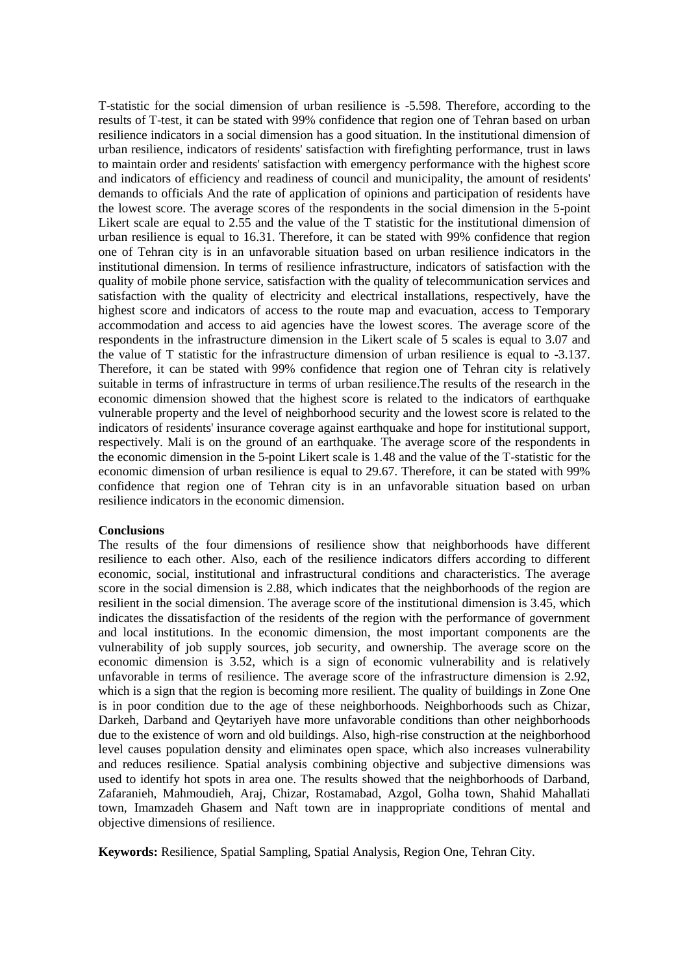T-statistic for the social dimension of urban resilience is -5.598. Therefore, according to the results of T-test, it can be stated with 99% confidence that region one of Tehran based on urban resilience indicators in a social dimension has a good situation. In the institutional dimension of urban resilience, indicators of residents' satisfaction with firefighting performance, trust in laws to maintain order and residents' satisfaction with emergency performance with the highest score and indicators of efficiency and readiness of council and municipality, the amount of residents' demands to officials And the rate of application of opinions and participation of residents have the lowest score. The average scores of the respondents in the social dimension in the 5-point Likert scale are equal to 2.55 and the value of the T statistic for the institutional dimension of urban resilience is equal to 16.31. Therefore, it can be stated with 99% confidence that region one of Tehran city is in an unfavorable situation based on urban resilience indicators in the institutional dimension. In terms of resilience infrastructure, indicators of satisfaction with the quality of mobile phone service, satisfaction with the quality of telecommunication services and satisfaction with the quality of electricity and electrical installations, respectively, have the highest score and indicators of access to the route map and evacuation, access to Temporary accommodation and access to aid agencies have the lowest scores. The average score of the respondents in the infrastructure dimension in the Likert scale of 5 scales is equal to 3.07 and the value of T statistic for the infrastructure dimension of urban resilience is equal to -3.137. Therefore, it can be stated with 99% confidence that region one of Tehran city is relatively suitable in terms of infrastructure in terms of urban resilience.The results of the research in the economic dimension showed that the highest score is related to the indicators of earthquake vulnerable property and the level of neighborhood security and the lowest score is related to the indicators of residents' insurance coverage against earthquake and hope for institutional support, respectively. Mali is on the ground of an earthquake. The average score of the respondents in the economic dimension in the 5-point Likert scale is 1.48 and the value of the T-statistic for the economic dimension of urban resilience is equal to 29.67. Therefore, it can be stated with 99% confidence that region one of Tehran city is in an unfavorable situation based on urban resilience indicators in the economic dimension.

#### **Conclusions**

The results of the four dimensions of resilience show that neighborhoods have different resilience to each other. Also, each of the resilience indicators differs according to different economic, social, institutional and infrastructural conditions and characteristics. The average score in the social dimension is 2.88, which indicates that the neighborhoods of the region are resilient in the social dimension. The average score of the institutional dimension is 3.45, which indicates the dissatisfaction of the residents of the region with the performance of government and local institutions. In the economic dimension, the most important components are the vulnerability of job supply sources, job security, and ownership. The average score on the economic dimension is 3.52, which is a sign of economic vulnerability and is relatively unfavorable in terms of resilience. The average score of the infrastructure dimension is 2.92, which is a sign that the region is becoming more resilient. The quality of buildings in Zone One is in poor condition due to the age of these neighborhoods. Neighborhoods such as Chizar, Darkeh, Darband and Qeytariyeh have more unfavorable conditions than other neighborhoods due to the existence of worn and old buildings. Also, high-rise construction at the neighborhood level causes population density and eliminates open space, which also increases vulnerability and reduces resilience. Spatial analysis combining objective and subjective dimensions was used to identify hot spots in area one. The results showed that the neighborhoods of Darband, Zafaranieh, Mahmoudieh, Araj, Chizar, Rostamabad, Azgol, Golha town, Shahid Mahallati town, Imamzadeh Ghasem and Naft town are in inappropriate conditions of mental and objective dimensions of resilience.

**Keywords:** Resilience, Spatial Sampling, Spatial Analysis, Region One, Tehran City.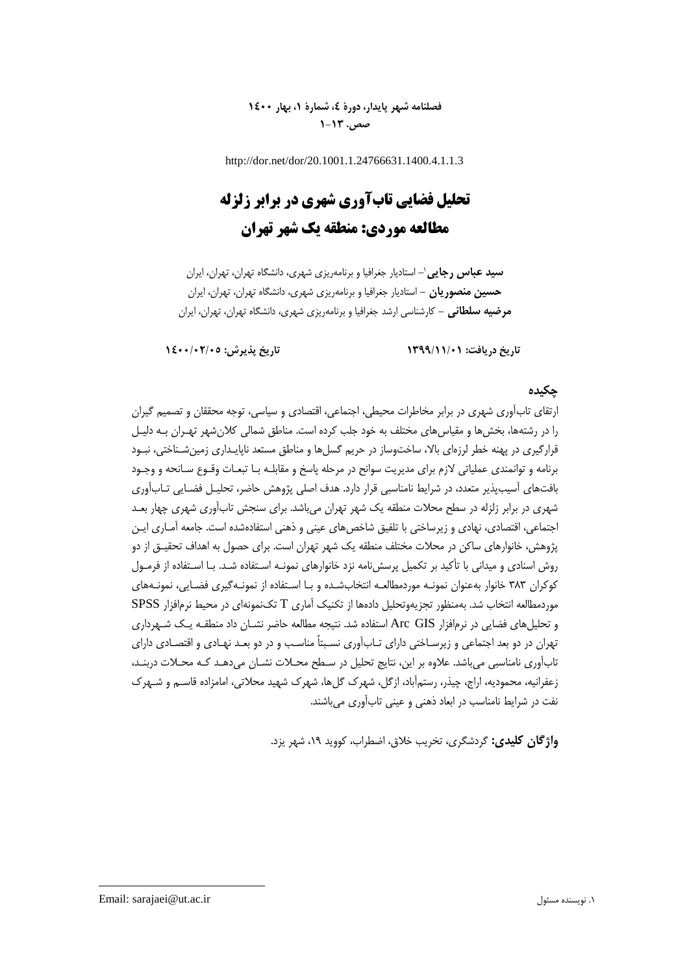## **فصلنامه شهر پایدار، دورۀ ،4 شمارۀ ،1 بهار 1400 صص. 1-13**

http://dor.net/dor/20.1001.1.24766631.1400.4.1.1.3

# **تحلیل فضایی تابآوری شهری در برابر زلزله مطالعه موردی: منطقه یک شهر تهران**

**-** استادیار جغرافیا و برنامهریزی شهری، دانشگاه تهران، تهران، ایران **سید عباس رجایی**<sup>1</sup> **حسین منصوریان -** استادیار جغرافیا و برنامهریزی شهری، دانشگاه تهران، تهران، ایران **مرضیه سلطانی -** کارشناسی ارشد جغرافیا و برنامهریزی شهری، دانشگاه تهران، تهران، ایران

**تاریخ دریافت: 1399/11/01 تاریخ پذیرش: 1400/02/05**

## **چکیده**

ارتقای تابآوری شهری در برابر مخاطرات محیطی، اجتماعی، اقتصادی و سیاسی، توجه محققان و تصمیم گیران را در رشتهها، بخشها و مقیاسهای مختلف به خود جلب کرده است. مناطق شمالی کالنشهر تهـران بـه دلیـل قرارگیری در پهنه خطر لرزهای باال، ساختوساز در حریم گسلها و مناطق مستعد ناپایـداری زمینشـناختی، نبـود برنامه و توانمندی عملیاتی الزم برای مدیریت سوانح در مرحله پاسخ و مقابلـه بـا تبعـات وقـوع سـانحه و وجـود بافتهای آسیبپذیر متعدد، در شرای نامناسبی قرار دارد. هدف اصلی پژوهش حاضر، تحلیـل فضـایی تـابآوری شهری در برابر زلزله در سطح محالت منطقه یک شهر تهران میباشد. برای سنجش تابآوری شهری چهار بعـد اجتماعی، اقتصادی، نهادی و زیرساختی با تلفیق شاخصهای عینی و ذهنی استفادهشده است. جامعه آمـاری ایـن پژوهش، خانوارهای ساکن در محالت مختلف منطقه یک شهر تهران است. برای حصول به اهداف تحقیـق از دو روش اسنادی و میدانی با تأکید بر تکمیل پرسشنامه نزد خانوارهای نمونـه اسـتفاده شـد. بـا اسـتفاده از فرمـول کوکران 383 خانوار بهعنوان نمونـه موردمطالعـه انتخابشـده و بـا اسـتفاده از نمونـهگیری فضـایی، نمونـههای موردمطالعه انتخاب شد. بهمنظور تجزیهوتحلیل دادهها از تکنیک آماری T تکنمونهای در محی نرمافزار SPSS و تحلیلهای فضایی در نرمافزار GIS Arc استفاده شد. نتیجه مطالعه حاضر نشـان داد منطقـه یـک شـهرداری تهران در دو بعد اجتماعی و زیرسـاختی دارای تـابآوری نسـبتاً مناسـب و در دو بعـد نهـادی و اقتصـادی دارای تابآوری نامناسبی میباشد. عالوه بر این، نتایج تحلیل در سـطح محـالت نشـان میدهـد کـه محـالت دربنـد، زعفرانیه، محمودیه، اراج، چیذر، رستمآباد، ازگل، شهرك گلها، شهرك شهید محالتی، امامزاده قاسـم و شـهرك نفت در شرایط نامناسب در ابعاد ذهنی و عینی تابآوری میباشند.

**واژگان کلیدی:** گردشگری، تخریب خالق، اضطراب، کووید ،19 شهر یزد.

**.**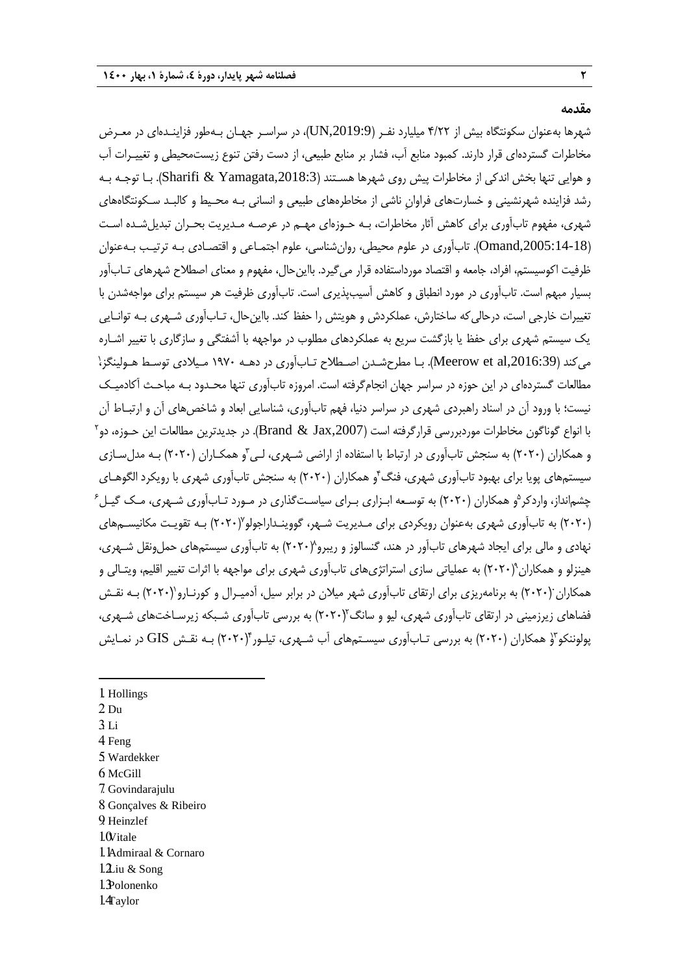**مقدمه**

شهرها بهعنوان سکونتگاه بیش از ۴/۲۲ میلیارد نفـر (UN,2019:9)، در سراسـر جهـان بـهطور فزاینـدهای در معـرض مخاطرات گستردهای قرار دارند. کمبود منابع آب، فشار بر منابع طبیعی، از دست رفتن تنوع زیستمحیطی و تغییـرات آب و هوایی تنها بخش اندکی از مخاطرات پیش روی شهرها هسـتند ),2018:3Yamagata & Sharifi). بـا توجـه بـه رشد فزاینده شهرنشینی و خسارتهای فراوان ناشی از مخاطرههای طبیعی و انسانی بـه محـیط و کالبـد سـکونتگاههای شهری، مفهوم تابآوری برای کاهش آثار مخاطرات، بـه حـوزهای مهـم در عرصـه مـدیریت بحـران تبدیلشـده اسـت ),2005:14-18Omand). تابآوری در علوم محیطی، روانشناسی، علوم اجتمـاعی و اقتصـادی بـه ترتیـب بـهعنوان ظرفیت اکوسیستم، افراد، جامعه و اقتصاد مورداستفاده قرار میگیرد. بااینحال، مفهوم و معنای اصطالح شهرهای تـابآور بسیار مبهم است. تابآوری در مورد انطباق و کاهش آسیبپذیری است. تابآوری ظرفیت هر سیستم برای مواجهشدن با تغییرات خارجی است، درحالیکه ساختارش، عملکردش و هویتش را حفظ کند. بااینحال، تـابآوری شـهری بـه توانـایی یک سیستم شهری برای حفظ یا بازگشت سریع به عملکردهای مطلوب در مواجهه با آشفتگی و سازگاری با تغییر اشـاره میکند (Meerow et al,2016:39). بـا مطرحشـدن اصـطلاح تـابآوری در دهـه ۱۹۷۰ مـیلادی توسـط هـولینگز، مطالعات گستردهای در این حوزه در سراسر جهان انجامگرفته است. امروزه تابآوری تنها محـدود بـه مباحـث آکادمیـک نیست؛ با ورود آن در اسناد راهبردی شهری در سراسر دنیا، فهم تابآوری، شناسایی ابعاد و شاخصهای آن و ارتبـاط آن با انواع گوناگون مخاطرات موردبررسی قرارگرفته است (Brand & Jax,2007). در جدیدترین مطالعات این حـوزه، دو<sup>۲</sup> و همکاران (۲۰۲۰) به سنجش تابآوری در ارتباط با استفاده از اراضی شـهری، لـی ّو همکـاران (۲۰۲۰) بـه مدلسـازی سیستمهای پویا برای بهبود تابآوری شهری، فنگ ٔو همکاران (۲۰۲۰) به سنجش تابآوری شهری با رویکرد الگوهـای چشمانداز، واردکر<sup>۵</sup>و همکاران (۲۰۲۰) به توسـعه ابـزاری بـرای سیاسـتگذاری در مـورد تـابآوری شـهری، مـک گیـل<sup>۶</sup> )2020( به تابآوری شهری بهعنوان رویکردی برای مـدیریت شـهر، گووینـداراجولو 7 )2020( بـه تقویـت مکانیسـمهای نهادی و مالی برای ایجاد شهرهای تابآور در هند، گنسالوز و ریبرو^(۲۰۲۰) به تابآوری سیستمهای حملونقل شـهری، هینزلو و همکاران°(۲۰۲۰) به عملیاتی سازی استراتژیهای تابآوری شهری برای مواجهه با اثرات تغییر اقلیم، ویتـالی و همکاران (۲۰۲۰) به برنامهریزی برای ارتقای تابآوری شهر میلان در برابر سیل، آدمیـرال و کورنـارو (۲۰۲۰) بـه نقـش فضاهای زیرزمینی در ارتقای تابآوری شهری، لیو و سانگ ۲۰۲۰) به بررسی تابآوری شـبکه زیرسـاختهای شـهری، پولوننکو ّ( همکاران (۲۰۲۰) به بررسی تـابآوری سیسـتمهای آب شـهری، تیلـور ۲۰۲۰) بـه نقـش GIS در نمـایش

1. Hollings 2. Du 3. Li 4. Feng 5. Wardekker 6. McGill 7. Govindarajulu 8. Gonçalves & Ribeiro 9. Heinzlef 1. Ovitale 11. Admiraal & Cornaro

1

- $12$ iu & Song
- 13. Polonenko
- $14$ aylor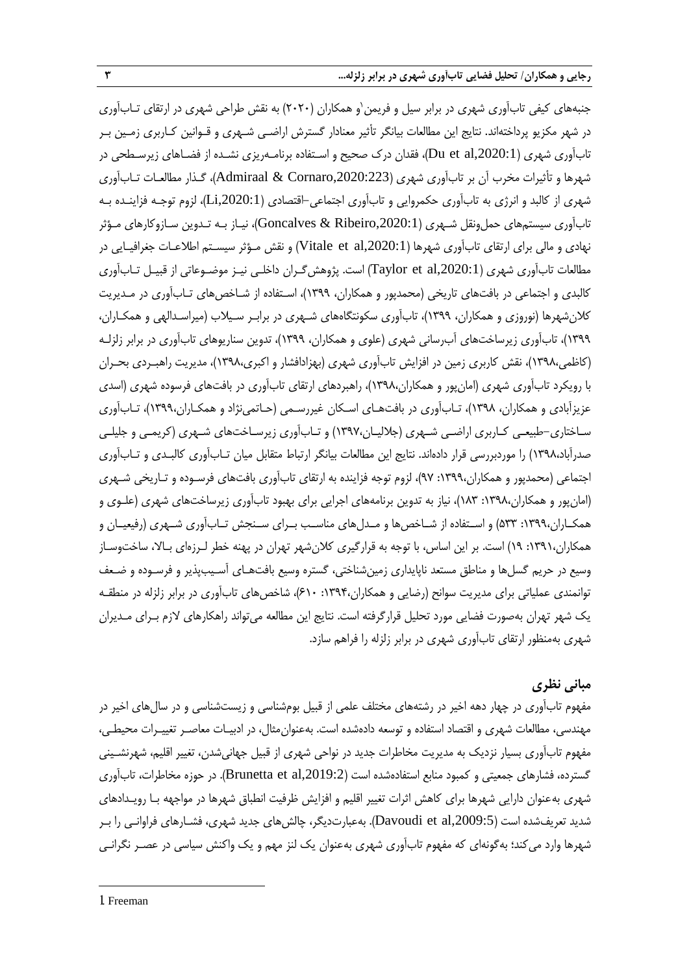جنبههای کیفی تابآوری شهری در برابر سیل و فریمن`و همکاران (۲۰۲۰) به نقش طراحی شهری در ارتقای تـابآوری در شهر مکزیو پرداختهاند. نتایج این مطالعات بیانگر تأثیر معنادار گسترش اراضـی شـهری و قـوانین کـاربری زمـین بـر تابآوری شهری (Du et al,2020:1)، فقدان درک صحیح و اسـتفاده برنامـهریزی نشـده از فضـاهای زیرسـطحی در شهرها و تأثیرات مخرب آن بر تابآوری شهری ),2020:223Cornaro & Admiraal)، گـذار مطالعـات تـابآوری شهری از کالبد و انرژی به تابآوری حکمروایی و تابآوری اجتماعی-اقتصادی ),2020:1Li)، لزوم توجـه فزاینـده بـه تابآوری سیستمهای حملونقل شـهری (Goncalves & Ribeiro,2020:1)، نیـاز بـه تـدوین سـازوکارهای مـؤثر نهادی و مالی برای ارتقای تابآوری شهرها ),2020:1al et Vitale )و نقش مـؤثر سیسـتم اطالعـات جغرافیـایی در مطالعات تابآوری شهری ),2020:1al et Taylor )است. پژوهشگـران داخلـی نیـز موضـوعاتی از قبیـل تـابآوری کالبدی و اجتماعی در بافتهای تاریخی )محمدپور و همکاران، 1399(، اسـتفاده از شـاخصهای تـابآوری در مـدیریت کالنشهرها )نوروزی و همکاران، 1399(، تابآوری سکونتگاههای شـهری در برابـر سـیالب )میراسـدالهی و همکـاران، 1399(، تابآوری زیرساختهای آبرسانی شهری )علوی و همکاران، 1399(، تدوین سناریوهای تابآوری در برابر زلزلـه )کاظمی1398،(، نقش کاربری زمین در افزایش تابآوری شهری )بهزادافشار و اکبری1398،(، مدیریت راهبـردی بحـران با رویکرد تابآوری شهری (امانپور و همکاران،۱۳۹۸)، راهبردهای ارتقای تابآوری در بافتهای فرسوده شهری (اسدی عزیزآبادی و همکاران، ۱۳۹۸)، تـابآوری در بافتهـای اسـکان غیررسـمی (حـاتمی<code>نژاد و همکـاران،۱۳۹۹)، تـابآوری</code> سـاختاری-طبیعـی کـاربری اراضـی شـهری (جلالیـان،۱۳۹۷) و تـابآوری زیرسـاختهای شـهری (کریمـی و جلیلـی صدرآباد،۱۳۹۸) را موردبررسی قرار دادهاند. نتایج این مطالعات بیانگر ارتباط متقابل میان تـابآوری کالبـدی و تـابآوری اجتماعی )محمدپور و همکاران:1399، 97(، لزوم توجه فزاینده به ارتقای تابآوری بافتهای فرسـوده و تـاریخی شـهری )امانپور و همکاران:1398، 183(، نیاز به تدوین برنامههای اجرایی برای بهبود تابآوری زیرساختهای شهری )علـوی و همکــاران:1399، 533( و اســتفاده از شــاخصها و مــدلهای مناســب بــرای ســنجش تــابآوری شــهری )رفیعیــان و همکاران:1391، 19( است. بر این اساس، با توجه به قرارگیری کالنشهر تهران در پهنه خطر لـرزهای بـاال، ساختوسـاز وسیع در حریم گسلها و مناطق مستعد ناپایداری زمینشناختی، گستره وسیع بافتهـای آسـیبپذیر و فرسـوده و ضـعف توانمندی عملیاتی برای مدیریت سوانح (رضایی و همکاران،۱۳۹۴: ۶۱۰)، شاخصهای تابآوری در برابر زلزله در منطقـه یک شهر تهران بهصورت فضایی مورد تحلیل قرارگرفته است. نتایج این مطالعه میتواند راهکارهای الزم بـرای مـدیران شهری بهمنظور ارتقای تابآوری شهری در برابر زلزله را فراهم سازد.

# **مبانی نظری**

مفهوم تابآوری در چهار دهه اخیر در رشتههای مختلف علمی از قبیل بومشناسی و زیستشناسی و در سالهای اخیر در مهندسی، مطالعات شهری و اقتصاد استفاده و توسعه دادهشده است. بهعنوانمثال، در ادبیـات معاصـر تغییـرات محیطـی، مفهوم تابآوری بسیار نزدیک به مدیریت مخاطرات جدید در نواحی شهری از قبیل جهانیشدن، تغییر اقلیم، شهرنشـینی گسترده، فشارهای جمعیتی و کمبود منابع استفادهشده است ),2019:2al et Brunetta). در حوزه مخاطرات، تابآوری شهری بهعنوان دارایی شهرها برای کاهش اثرات تغییر اقلیم و افزایش ظرفیت انطباق شهرها در مواجهه بـا رویـدادهای شدید تعریفشده است ),2009:5al et Davoudi). بهعبارتدیگر، چالشهای جدید شهری، فشـارهای فراوانـی را بـر شهرها وارد میکند؛ بهگونهای که مفهوم تابآوری شهری بهعنوان یک لنز مهم و یک واکنش سیاسی در عصـر نگرانـی

1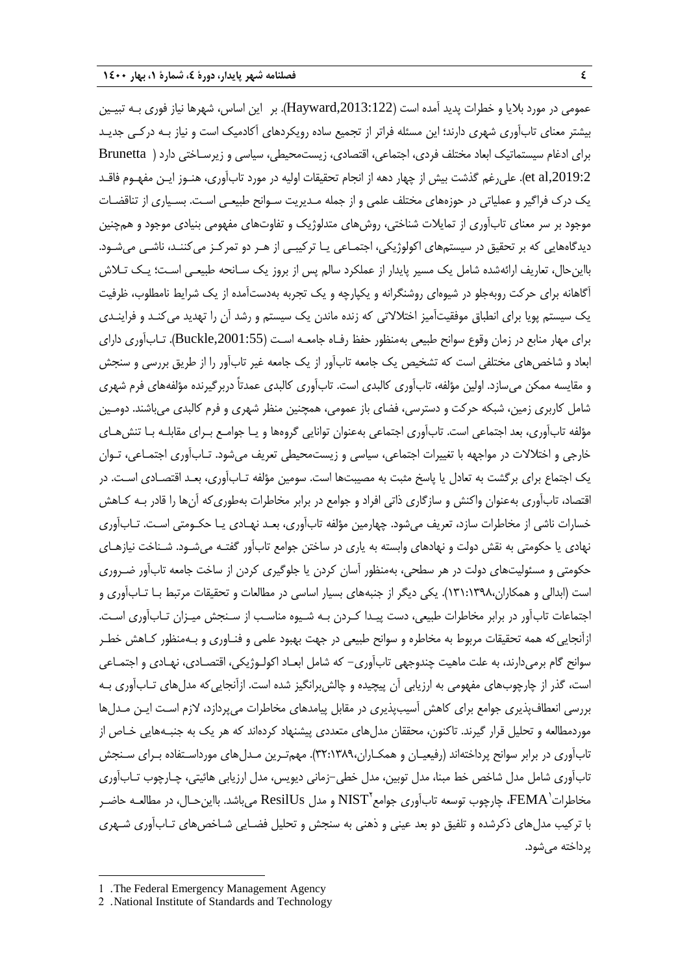عمومی در مورد بالیا و خطرات پدید آمده است ),2013:122Hayward). بر این اساس، شهرها نیاز فوری بـه تبیـین بیشتر معنای تابآوری شهری دارند؛ این مسئله فراتر از تجمیع ساده رویکردهای آکادمیک است و نیاز بـه درکـی جدیـد برای ادرام سیستماتیک ابعاد مختلف فردی، اجتماعی، اقتصادی، زیستمحیطی، سیاسی و زیرسـاختی دارد ) Brunetta et al,2019:2). علی رغم گذشت بیش از چهار دهه از انجام تحقیقات اولیه در مورد تابآوری، هنـوز ایـن مفهـوم فاقـد یک درك فراگیر و عملیاتی در حوزههای مختلف علمی و از جمله مـدیریت سـوانح طبیعـی اسـت. بسـیاری از تناقضـات موجود بر سر معنای تابآوری از تمایالت شناختی، روشهای متدلوژیک و تفاوتهای مفهومی بنیادی موجود و همچنین دیدگاههایی که بر تحقیق در سیستمهای اکولوژیکی، اجتمـاعی یـا ترکیبـی از هـر دو تمرکـز میکننـد، ناشـی میشـود. بااینحال، تعاریف ارائهشده شامل یک مسیر پایدار از عملکرد سالم پس از بروز یک سـانحه طبیعـی اسـت؛ یـک تـالش آگاهانه برای حرکت روبهجلو در شیوهای روشنگرانه و یکپارچه و یک تجربه بهدستآمده از یک شرای نامطلوب، ظرفیت یک سیستم پویا برای انطباق موفقیتآمیز اختالالتی که زنده ماندن یک سیستم و رشد آن را تهدید میکنـد و فراینـدی برای مهار منابع در زمان وقوع سوانح طبیعی بهمنظور حفظ رفـاه جامعـه اسـت ),2001:55Buckle). تـابآوری دارای ابعاد و شاخصهای مختلفی است که تشخیص یک جامعه تابآور از یک جامعه غیر تابآور را از طریق بررسی و سنجش و مقایسه ممکن میسازد. اولین مؤلفه، تابآوری کالبدی است. تابآوری کالبدی عمدتاً دربرگیرنده مؤلفههای فرم شهری شامل کاربری زمین، شبکه حرکت و دسترسی، فضای باز عمومی، همچنین منظر شهری و فرم کالبدی میباشند. دومـین مؤلفه تابآوری، بعد اجتماعی است. تابآوری اجتماعی بهعنوان توانایی گروهها و یـا جوامـع بـرای مقابلـه بـا تنشهـای خارجی و اختالالت در مواجهه با تغییرات اجتماعی، سیاسی و زیستمحیطی تعریف میشود. تـابآوری اجتمـاعی، تـوان یک اجتماع برای برگشت به تعادل یا پاسخ مثبت به مصیبتها است. سومین مؤلفه تـابآوری، بعـد اقتصـادی اسـت. در اقتصاد، تابآوری بهعنوان واکنش و سازگاری ذاتی افراد و جوامع در برابر مخاطرات بهطوریکه آنها را قادر بـه کـاهش خسارات ناشی از مخاطرات سازد، تعریف میشود. چهارمین مؤلفه تابآوری، بعـد نهـادی یـا حکـومتی اسـت. تـابآوری نهادی یا حکومتی به نقش دولت و نهادهای وابسته به یاری در ساختن جوامع تابآور گفتـه میشـود. شـناخت نیازهـای حکومتی و مسئولیتهای دولت در هر سطحی، بهمنظور آسان کردن یا جلوگیری کردن از ساخت جامعه تابآور ضـروری است (ابدالی و همکاران،۱۳۹۸:۱۳۱۰). یکی دیگر از جنبههای بسیار اساسی در مطالعات و تحقیقات مرتبط بـا تـابآوری و اجتماعات تابآور در برابر مخاطرات طبیعی، دست پیـدا کـردن بـه شـیوه مناسـب از سـنجش میـزان تـابآوری اسـت. ازآنجایی که همه تحقیقات مربوط به مخاطره و سوانح طبیعی در جهت بهبود علمی و فنـاوری و بـهمنظور کـاهش خطـر سوانح گام برمیدارند، به علت ماهیت چندوجهی تابآوری- که شامل ابعـاد اکولـوژیکی، اقتصـادی، نهـادی و اجتمـاعی است، گذر از چارچوبهای مفهومی به ارزیابی آن پیچیده و چالشبرانگیز شده است. ازآنجاییکه مدلهای تـابآوری بـه بررسی انعطافپذیری جوامع برای کاهش آسیبپذیری در مقابل پیامدهای مخاطرات میپردازد، الزم اسـت ایـن مـدلها موردمطالعه و تحلیل قرار گیرند. تاکنون، محققان مدلهای متعددی پیشنهاد کردهاند که هر یک به جنبـههایی خـاص از تابآوری در برابر سوانح پرداختهاند (رفیعیـان و همکـاران،۳۲:۱۳۸۹). مهمتـرین مـدلهای مورداسـتفاده بـرای سـنجش تابآوری شامل مدل شاخص خط مبنا، مدل توبین، مدل خطی-زمانی دیویس، مدل ارزیابی هائیتی، چـارچوب تـابآوری مخاطرات 'FEMA، چارچوب توسعه تابآوری جوامع "NIST و مدل ResilUs میباشد. بااینحـال، در مطالعـه حاضـر با ترکیب مدلهای ذکرشده و تلفیق دو بعد عینی و ذهنی به سنجش و تحلیل فضـایی شـاخصهای تـابآوری شـهری پرداخته میشود.

1

<sup>1</sup> . The Federal Emergency Management Agency

<sup>2</sup> . National Institute of Standards and Technology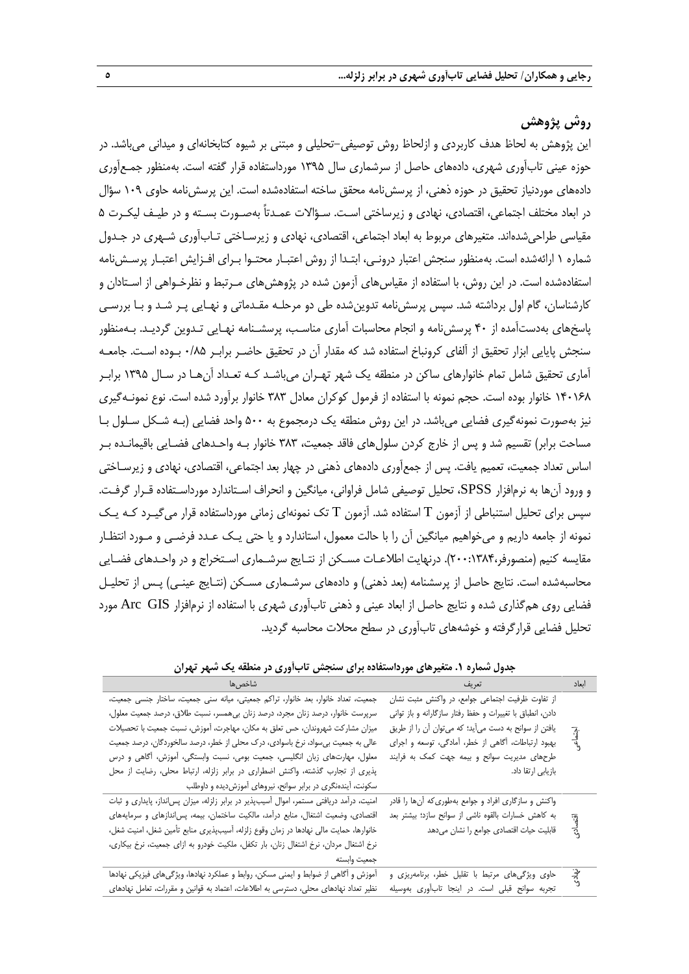# **روش پژوهش**

این پژوهش به لحاظ هدف کاربردی و ازلحاظ روش توصیفی-تحلیلی و مبتنی بر شیوه کتابخانهای و میدانی میباشد. در حوزه عینی تابآوری شهری، دادههای حاصل از سرشماری سال 1395 مورداستفاده قرار گفته است. بهمنظور جمـعآوری دادههای موردنیاز تحقیق در حوزه ذهنی، از پرسشنامه محقق ساخته استفادهشده است. این پرسشنامه حاوی 109 سؤال در ابعاد مختلف اجتماعی، اقتصادی، نهادی و زیرساختی اسـت. سـؤاالت عمـدتاً بهصـورت بسـته و در طیـف لیکـرت 5 مقیاسی طراحیشدهاند. متغیرهای مربو به ابعاد اجتماعی، اقتصادی، نهادی و زیرسـاختی تـابآوری شـهری در جـدول شماره 1 ارائهشده است. بهمنظور سنجش اعتبار درونـی، ابتـدا از روش اعتبـار محتـوا بـرای افـزایش اعتبـار پرسـشنامه استفادهشده است. در این روش، با استفاده از مقیاسهای ازمون شده در پژوهشهای مـرتبط و نظرخـواهی از اسـتادان و کارشناسان، گام اول برداشته شد. سپس پرسشنامه تدوینشده طی دو مرحلـه مقـدماتی و نهـایی پـر شـد و بـا بررسـی پاسخهای بهدستآمده از 40 پرسشنامه و انجام محاسبات آماری مناسـب، پرسشـنامه نهـایی تـدوین گردیـد. بـهمنظور سنجش پایایی ابزار تحقیق از آلفای کرونباخ استفاده شد که مقدار آن در تحقیق حاضـر برابـر 0/85 بـوده اسـت. جامعـه آماری تحقیق شامل تمام خانوارهای ساکن در منطقه یک شهر تهـران میباشـد کـه تعـداد آنهـا در سـال 1395 برابـر 140168 خانوار بوده است. حجم نمونه با استفاده از فرمول کوکران معادل 383 خانوار برآورد شده است. نوع نمونـهگیری نیز بهصورت نمونهگیری فضایی میباشد. در این روش منطقه یک درمجموع به 500 واحد فضایی )بـه شـکل سـلول بـا مساحت برابر) تقسیم شد و پس از خارج کردن سلولهای فاقد جمعیت، ۳۸۳ خانوار بـه واحـدهای فضـایی باقیمانـده بـر اساس تعداد جمعیت، تعمیم یافت. پس از جمعآوری دادههای ذهنی در چهار بعد اجتماعی، اقتصادی، نهادی و زیرسـاختی و ورود آنها به نرمافزار SPSS، تحلیل توصیفی شامل فراوانی، میانگین و انحراف اسـتاندارد مورداسـتفاده قـرار گرفـت. سپس برای تحلیل استنباطی از آزمون T استفاده شد. آزمون T تک نمونهای زمانی مورداستفاده قرار میگیـرد کـه یـک نمونه از جامعه داریم و میخواهیم میانگین آن را با حالت معمول، استاندارد و یا حتی یـک عـدد فرضـی و مـورد انتظـار مقایسه کنیم (منصورفر،۲۸۴۰:۱۳۸۴). درنهایت اطلاعـات مسـکن از نتـایج سرشـماری اسـتخراج و در واحـدهای فضـایی محاسبهشده است. نتایج حاصل از پرسشنامه (بعد ذهنی) و دادههای سرشـماری مسـکن (نتـایج عینـی) پـس از تحلیـل فضایی روی همگذاری شده و نتایج حاصل از ابعاد عینی و ذهنی تابآوری شهری با استفاده از نرمافزار GIS Arc مورد تحلیل فضایی قرارگرفته و خوشههای تابآوری در سطح محالت محاسبه گردید.

| شاخصءا                                                                                   | تعريف                                                     | ابعاد   |
|------------------------------------------------------------------------------------------|-----------------------------------------------------------|---------|
| جمعیت، تعداد خانوار، بعد خانوار، تراکم جمعیتی، میانه سنی جمعیت، ساختار جنسی جمعیت،       | از تفاوت ظرفیت اجتماعی جوامع، در واکنش مثبت نشان          |         |
| سرپرست خانوار، درصد زنان مجرد، درصد زنان بی همسر، نسبت طلاق، درصد جمعیت معلول،           | دادن، انطباق با تغییرات و حفظ رفتار سازگارانه و باز توانی |         |
| میزان مشارکت شهروندان، حس تعلق به مکان، مهاجرت، اًموزش، نسبت جمعیت با تحصیلات            | يافتن از سوانح به دست مي آيد؛ كه مي توان آن را از طريق    |         |
| عالی به جمعیت بی سواد، نرخ باسوادی، درک محلی از خطر، درصد سالخوردگان، درصد جمعیت         | بهبود ارتباطات، أگاهي از خطر، أمادگي، توسعه و اجراي       | أجتماعي |
| معلول، مهارتهای زبان انگلیسی، جمعیت بومی، نسبت وابستگی، آموزش، آگاهی و درس               | طرحهای مدیریت سوانح و بیمه جهت کمک به فرایند              |         |
| پذیری از تجارب گذشته، واکنش اضطراری در برابر زلزله، ارتباط محلی، رضایت از محل            | بازيابي ارتقا داد.                                        |         |
| سکونت، آیندهنگری در برابر سوانح، نیروهای آموزشدیده و داوطلب                              |                                                           |         |
| امنیت، درآمد دریافتی مستمر، اموال آسیبپذیر در برابر زلزله، میزان پسانداز، پایداری و ثبات | واکنش و سازگاری افراد و جوامع بهطوری که آنها را قادر      |         |
| اقتصادی، وضعیت اشتغال، منابع درآمد، مالکیت ساختمان، بیمه، پس ندازهای و سرمایههای         | به کاهش خسارات بالقوه ناشی از سوانح سازد؛ بیشتر بعد       |         |
| خانوارها، حمايت مالي نهادها در زمان وقوع زلزله، آسيبپذيري منابع تأمين شغل، امنيت شغل،    | قابلیت حیات اقتصادی جوامع را نشان میدهد                   | اقتصادى |
| نرخ اشتغال مردان، نرخ اشتغال زنان، بار تكفل، ملكيت خودرو به ازاى جمعيت، نرخ بيكارى،      |                                                           |         |
| جمعيت وابسته                                                                             |                                                           |         |
| آموزش و أگاهی از ضوابط و ایمنی مسکن، روابط و عملکرد نهادها، ویژگیهای فیزیکی نهادها       | حاوی ویژگیهای مرتبط با تقلیل خطر، برنامهریزی و            | نپادی   |
| نظیر تعداد نهادهای محلی، دسترسی به اطلاعات، اعتماد به قوانین و مقررات، تعامل نهادهای     | تجربه سوانح قبلی است. در اینجا تابآوری بهوسیله            |         |
|                                                                                          |                                                           |         |

#### **جدول شماره .1 متغیرهای مورداستفاده برای سنجش تابآوری در منطقه یک شهر تهران**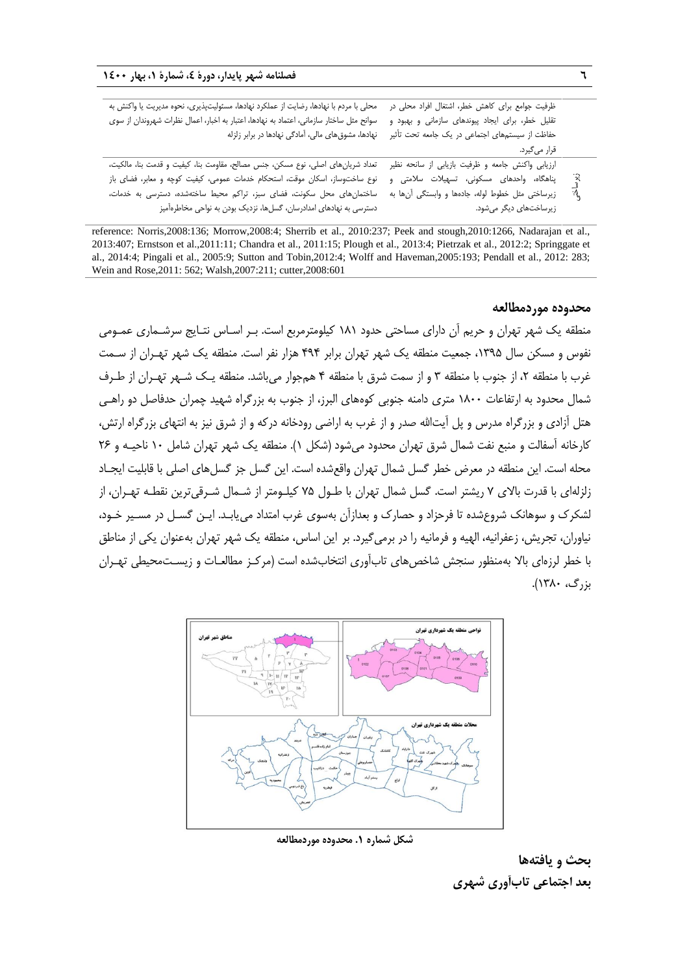| ظرفيت جوامع براى كاهش خطر، اشتغال افراد محلى در        |  |
|--------------------------------------------------------|--|
| تقلیل خطر، برای ایجاد پیوندهای سازمانی و بهبود و       |  |
| حفاظت از سیستمهای اجتماعی در یک جامعه تحت تأثیر        |  |
| قرار میگیرد.                                           |  |
| ارزیابی واکنش جامعه و ظرفیت بازیابی از سانحه نظیر      |  |
| ્રિ<br>پناهگاه، واحدهای مسکونی، تسهیلات سلامتی و       |  |
| ৗ৾<br>زیرساختی مثل خطوط لوله، جادهها و وابستگی آنها به |  |
| زیرساختهای دیگر میشود.                                 |  |
|                                                        |  |

reference: Norris,2008:136; Morrow,2008:4; Sherrib et al., 2010:237; Peek and stough,2010:1266, Nadarajan et al., 2013:407; Ernstson et al.,2011:11; Chandra et al., 2011:15; Plough et al., 2013:4; Pietrzak et al., 2012:2; Springgate et al., 2014:4; Pingali et al., 2005:9; Sutton and Tobin,2012:4; Wolff and Haveman,2005:193; Pendall et al., 2012: 283; Wein and Rose,2011: 562; Walsh,2007:211; cutter,2008:601

## **محدوده موردمطالعه**

منطقه یک شهر تهران و حریم آن دارای مساحتی حدود 181 کیلومترمربع است. بـر اسـاس نتـایج سرشـماری عمـومی نفوس و مسکن سال ۱۳۹۵، جمعیت منطقه یک شهر تهران برابر ۴۹۴ هزار نفر است. منطقه یک شهر تهـران از سـمت غرب با منطقه ۲، از جنوب با منطقه ۳ و از سمت شرق با منطقه ۴ همجوار می باشد. منطقه یـک شـهر تهـران از طـرف شمال محدود به ارتفاعات 1800 متری دامنه جنوبی کوههای البرز، از جنوب به بزرگراه شهید چمران حدفاصل دو راهـی هتل آزادی و بزرگراه مدرس و پل آیتالله صدر و از غرب به اراضی رودخانه درکه و از شرق نیز به انتهای بزرگراه ارتش، کارخانه آسفالت و منبع نفت شمال شرق تهران محدود میشود )شکل 1(. منطقه یک شهر تهران شامل 10 ناحیـه و 26 محله است. این منطقه در معرض خطر گسل شمال تهران واقع شده است. این گسل جز گسل های اصلی با قابلیت ایجـاد زلزلهای با قدرت باالی 7 ریشتر است. گسل شمال تهران با طـول 75 کیلـومتر از شـمال شـرقیترین نقطـه تهـران، از لشکرك و سوهانک شروعشده تا فرحزاد و حصارك و بعدازآن بهسوی ررب امتداد مییابـد. ایـن گسـل در مسـیر خـود، نیاوران، تجریش، زعفرانیه، الهیه و فرمانیه را در برمیگیرد. بر این اساس، منطقه یک شهر تهران بهعنوان یکی از مناطق با خطر لرزهای باال بهمنظور سنجش شاخصهای تابآوری انتخابشده است )مرکـز مطالعـات و زیسـتمحیطی تهـران بزرگ، 1380(.



**شکل شماره .1 محدوده موردمطالعه**

**بحث و یافتهها بعد اجتماعی تابآوری شهری**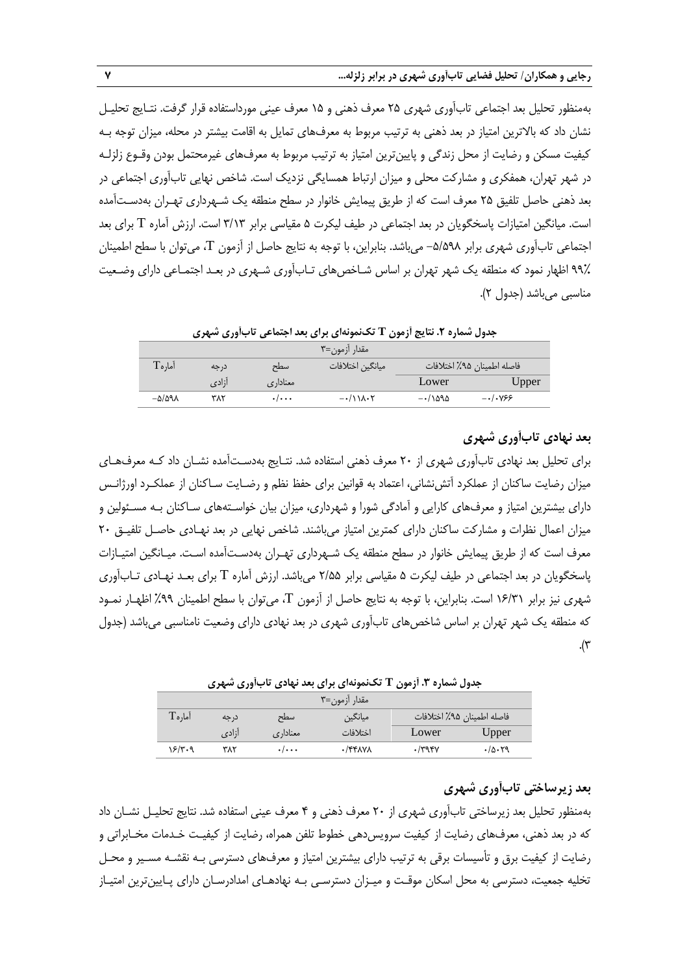بهمنظور تحلیل بعد اجتماعی تابآوری شهری 25 معرف ذهنی و 15 معرف عینی مورداستفاده قرار گرفت. نتـایج تحلیـل نشان داد که بالاترین امتیاز در بعد ذهنی به ترتیب مربوط به معرفهای تمایل به اقامت بیشتر در محله، میزان توجه بـه کیفیت مسکن و رضایت از محل زندگی و پایینترین امتیاز به ترتیب مربوط به معرفهای غیرمحتمل بودن وقـوع زلزلـه در شهر تهران، همفکری و مشارکت محلی و میزان ارتباط همسایگی نزدیک است. شاخص نهایی تابآوری اجتماعی در بعد ذهنی حاصل تلفیق 25 معرف است که از طریق پیمایش خانوار در سطح منطقه یک شـهرداری تهـران بهدسـتآمده است. میانگین امتیازات پاسخگویان در بعد اجتماعی در طیف لیکرت 5 مقیاسی برابر 3/13 است. ارزش آماره T برای بعد اجتماعی تابآوری شهری برابر -5/598 میباشد. بنابراین، با توجه به نتایج حاصل از آزمون T، میتوان با سطح اطمینان 99% اظهار نمود که منطقه یک شهر تهران بر اساس شـاخصهای تـابآوری شـهری در بعـد اجتمـاعی دارای وضـعیت مناسبی میباشد (جدول ۲).

|  |  |  | جدول شماره ۲. نتایج آزمون T تکنمونهای برای بعد اجتماعی تابآوری شهری |  |  |  |
|--|--|--|---------------------------------------------------------------------|--|--|--|
|--|--|--|---------------------------------------------------------------------|--|--|--|

| مقدار آزمون=۳       |       |                           |                           |                     |                            |  |
|---------------------|-------|---------------------------|---------------------------|---------------------|----------------------------|--|
| $\Gamma$ ماره       | در جه | سطح                       | ميانگين اختلافات          |                     | فاصله اطمينان ٩۵٪ اختلافات |  |
|                     | أزادي | معناداري                  |                           | Lower               | Upper                      |  |
| $-\Delta/\Delta$ ۹۸ | ۳۸۲   | $\cdot$ / $\cdot$ $\cdot$ | $-\cdot/11\lambda\cdot Y$ | $-\cdot/\lambda$ ۹۵ | $-\cdot/\cdot\sqrt{55}$    |  |

## **بعد نهادی تابآوری شهری**

برای تحلیل بعد نهادی تابآوری شهری از 20 معرف ذهنی استفاده شد. نتـایج بهدسـتآمده نشـان داد کـه معرفهـای میزان رضایت ساکنان از عملکرد آتشنشانی، اعتماد به قوانین برای حفظ نظم و رضـایت سـاکنان از عملکـرد اورژانـس دارای بیشترین امتیاز و معرفهای کارایی و آمادگی شورا و شهرداری، میزان بیان خواسـتههای سـاکنان بـه مسـئولین و میزان اعمال نظرات و مشارکت ساکنان دارای کمترین امتیاز میباشند. شاخص نهایی در بعد نهـادی حاصـل تلفیـق 20 معرف است که از طریق پیمایش خانوار در سطح منطقه یک شـهرداری تهـران بهدسـتآمده اسـت. میـانگین امتیـازات پاسخگویان در بعد اجتماعی در طیف لیکرت 5 مقیاسی برابر 2/55 میباشد. ارزش آماره T برای بعـد نهـادی تـابآوری شهری نیز برابر 16/31 است. بنابراین، با توجه به نتایج حاصل از آزمون T، میتوان با سطح اطمینان %99 اظهـار نمـود که منطقه یک شهر تهران بر اساس شاخصهای تابآوری شهری در بعد نهادی دارای وضعیت نامناسبی میباشد )جدول .(۳

#### **جدول شماره .3 آزمون T تکنمونهای برای بعد نهادی تابآوری شهری**

| مقدار آزمون=۳       |       |                           |                |                            |        |  |
|---------------------|-------|---------------------------|----------------|----------------------------|--------|--|
| $\mathrm{T}$ امار ه | در جه | سطح                       | ميانگين        | فاصله اطمينان ٩۵٪ اختلافات |        |  |
|                     | آزادی | معناداري                  | اختلافات       | Lower                      | Upper  |  |
| ۱۶/۳۰۹              | ۳۸۲   | $\cdot$ / $\cdot$ $\cdot$ | $\cdot$ /۴۴۸۷۸ | $\cdot$ /۳۹۴۷              | .70.79 |  |

## **بعد زیرساختی تابآوری شهری**

بهمنظور تحلیل بعد زیرساختی تابآوری شهری از 20 معرف ذهنی و 4 معرف عینی استفاده شد. نتایج تحلیـل نشـان داد که در بعد ذهنی، معرفهای رضایت از کیفیت سرویسدهی خطوط تلفن همراه، رضایت از کیفیـت خـدمات مخـابراتی و رضایت از کیفیت برق و تأسیسات برقی به ترتیب دارای بیشترین امتیاز و معرفهای دسترسی بـه نقشـه مسـیر و محـل تخلیه جمعیت، دسترسی به محل اسکان موقـت و میـزان دسترسـی بـه نهادهـای امدادرسـان دارای پـایینترین امتیـاز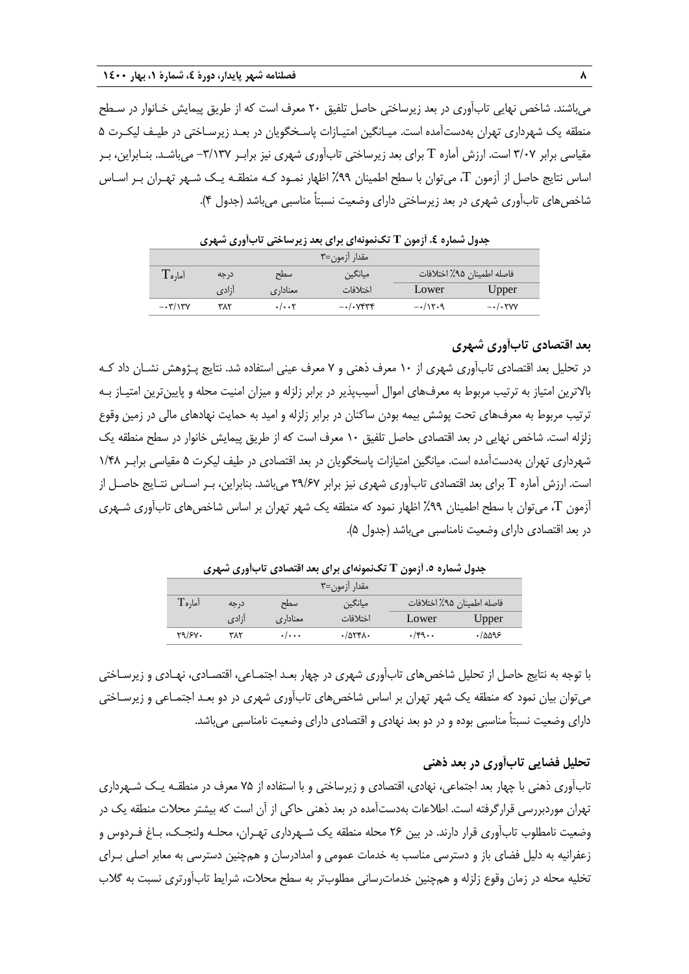میباشند. شاخص نهایی تابآوری در بعد زیرساختی حاصل تلفیق 20 معرف است که از طریق پیمایش خـانوار در سـطح منطقه یک شهرداری تهران بهدستآمده است. میـانگین امتیـازات پاسـخگویان در بعـد زیرسـاختی در طیـف لیکـرت 5 مقیاسی برابر 3/07 است. ارزش آماره T برای بعد زیرساختی تابآوری شهری نیز برابـر -3/137 میباشـد. بنـابراین، بـر اساس نتایج حاصل از آزمون T، میتوان با سطح اطمینان %99 اظهار نمـود کـه منطقـه یـک شـهر تهـران بـر اسـاس شاخصهای تابآوری شهری در بعد زیرساختی دارای وضعیت نسبتاً مناسبی میباشد )جدول 4(.

**جدول شماره .4 آزمون T تکنمونهای برای بعد زیرساختی تابآوری شهری**

| مقدار آزمون=۳                  |       |                      |                                    |               |                                                 |  |
|--------------------------------|-------|----------------------|------------------------------------|---------------|-------------------------------------------------|--|
| $\Gamma$ ماره                  | درجه  | سطح                  | ميانگين                            |               | فاصله اطمينان ٩۵٪ اختلافات                      |  |
|                                | أزادي | معناداری             | اختلافات                           | Lower         | Upper                                           |  |
| $-\cdot \mathbf{y}/\mathbf{y}$ | ۳۸۲   | $\cdot/\cdot\cdot$ ۲ | $-\cdot/\cdot$ $V$ $V$ $V$ $V$ $V$ | $-\cdot/15.9$ | $-\cdot/\cdot \mathsf{Y} \mathsf{V} \mathsf{V}$ |  |

## **بعد اقتصادی تابآوری شهری**

در تحلیل بعد اقتصادی تابآوری شهری از 10 معرف ذهنی و 7 معرف عینی استفاده شد. نتایج پـژوهش نشـان داد کـه بالاترین امتیاز به ترتیب مربوط به معرفهای اموال آسیبپذیر در برابر زلزله و میزان امنیت محله و پایینترین امتیـاز بـه ترتیب مربوط به معرفهای تحت پوشش بیمه بودن ساکنان در برابر زلزله و امید به حمایت نهادهای مالی در زمین وقوع زلزله است. شاخص نهایی در بعد اقتصادی حاصل تلفیق 10 معرف است که از طریق پیمایش خانوار در سطح منطقه یک شهرداری تهران بهدستآمده است. میانگین امتیازات پاسخگویان در بعد اقتصادی در طیف لیکرت 5 مقیاسی برابـر 1/48 است. ارزش آماره T برای بعد اقتصادی تابآوری شهری نیز برابر 29/67 میباشد. بنابراین، بـر اسـاس نتـایج حاصـل از آزمون T، میتوان با سطح اطمینان %99 اظهار نمود که منطقه یک شهر تهران بر اساس شاخصهای تابآوری شـهری در بعد اقتصادی دارای وضعیت نامناسبی میباشد )جدول 5(.

**جدول شماره .5 آزمون T تکنمونهای برای بعد اقتصادی تابآوری شهری**

| مقدار آزمون=۳ |       |                           |                      |       |                            |  |
|---------------|-------|---------------------------|----------------------|-------|----------------------------|--|
| آما, هT       | در حه | سطح                       | ميانگين              |       | فاصله اطمينان ٩۵٪ اختلافات |  |
|               | ازادی | معناداری                  | اختلافات             | Lower | Upper                      |  |
| 79/81.        | ۳۸۲   | $\cdot$ / $\cdot$ $\cdot$ | $\cdot$ /974 $\cdot$ | .79.  | ۹۶۵۵۹۰.                    |  |

با توجه به نتایج حاصل از تحلیل شاخصهای تابآوری شهری در چهار بعـد اجتمـاعی، اقتصـادی، نهـادی و زیرسـاختی میتوان بیان نمود که منطقه یک شهر تهران بر اساس شاخصهای تابآوری شهری در دو بعـد اجتمـاعی و زیرسـاختی دارای وضعیت نسبتاً مناسبی بوده و در دو بعد نهادی و اقتصادی دارای وضعیت نامناسبی میباشد.

## **تحلیل فضایی تابآوری در بعد ذهنی**

تابآوری ذهنی با چهار بعد اجتماعی، نهادی، اقتصادی و زیرساختی و با استفاده از 75 معرف در منطقـه یـک شـهرداری تهران موردبررسی قرارگرفته است. اطالعات بهدستآمده در بعد ذهنی حاکی از آن است که بیشتر محالت منطقه یک در وضعیت نامطلوب تابآوری قرار دارند. در بین 26 محله منطقه یک شـهرداری تهـران، محلـه ولنجـک، بـاف فـردوس و زعفرانیه به دلیل فضای باز و دسترسی مناسب به خدمات عمومی و امدادرسان و همچنین دسترسی به معابر اصلی بـرای تخلیه محله در زمان وقوع زلزله و همچنین خدمات سانی مطلوبتر به سطح محلات، شرایط تابآورتری نسبت به گلاب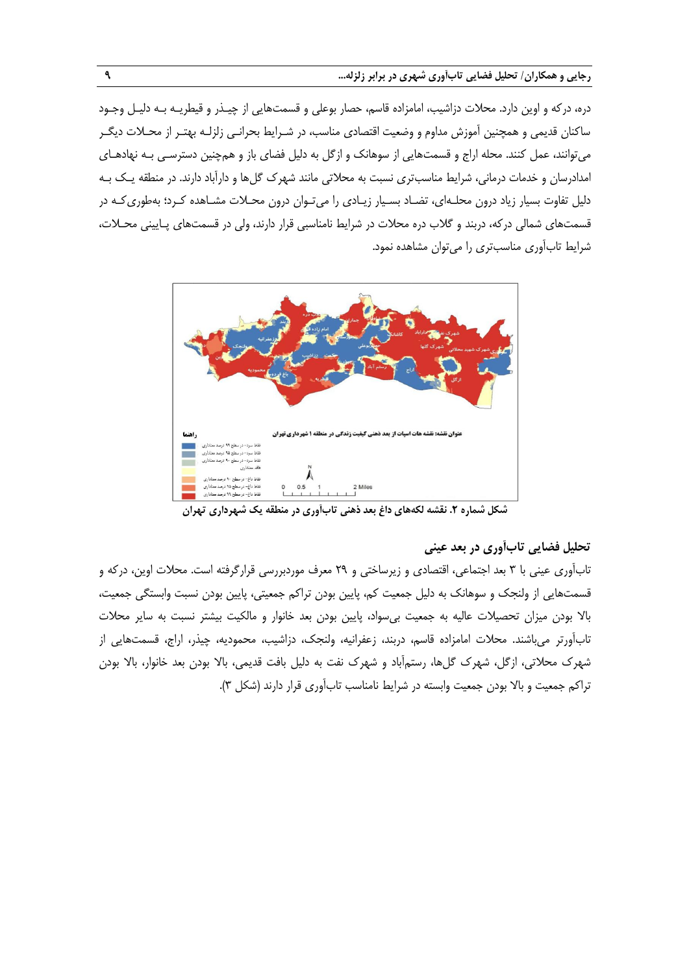دره، درکه و اوین دارد. محالت دزاشیب، امامزاده قاسم، حصار بوعلی و قسمتهایی از چیـذر و قیطریـه بـه دلیـل وجـود ساکنان قدیمی و همچنین آموزش مداوم و وضعیت اقتصادی مناسب، در شـرایط بحرانـی زلزلـه بهتـر از محــلات دیگــر میتوانند، عمل کنند. محله اراج و قسمتهایی از سوهانک و ازگل به دلیل فضای باز و همچنین دسترسـی بـه نهادهـای امدادرسان و خدمات درمانی، شرایط مناسب تری نسبت به محلاتی مانند شهرک گلها و دارآباد دارند. در منطقه یـک بـه دلیل تفاوت بسیار زیاد درون محلـهای، تضـاد بسـیار زیـادی را میتـوان درون محـالت مشـاهده کـرد؛ بهطوریکـه در قسمتهای شمالی درکه، دربند و گلاب دره محلات در شرایط نامناسبی قرار دارند، ولی در قسمتهای پـایینی محـلات، شرایط تابآوری مناسبتری را می توان مشاهده نمود.



**شکل شماره .2 نقشه لکههای داغ بعد ذهنی تابآوری در منطقه یک شهرداری تهران**

# **تحلیل فضایی تابآوری در بعد عینی**

تابآوری عینی با 3 بعد اجتماعی، اقتصادی و زیرساختی و 29 معرف موردبررسی قرارگرفته است. محالت اوین، درکه و قسمتهایی از ولنجک و سوهانک به دلیل جمعیت کم، پایین بودن تراکم جمعیتی، پایین بودن نسبت وابستگی جمعیت، باال بودن میزان تحصیالت عالیه به جمعیت بیسواد، پایین بودن بعد خانوار و مالکیت بیشتر نسبت به سایر محالت تابآورتر میباشند. محالت امامزاده قاسم، دربند، زعفرانیه، ولنجک، دزاشیب، محمودیه، چیذر، اراج، قسمتهایی از شهرك محالتی، ازگل، شهرك گلها، رستمآباد و شهرك نفت به دلیل بافت قدیمی، باال بودن بعد خانوار، باال بودن تراکم جمعیت و بالا بودن جمعیت وابسته در شرایط نامناسب تابآوری قرار دارند (شکل ۳).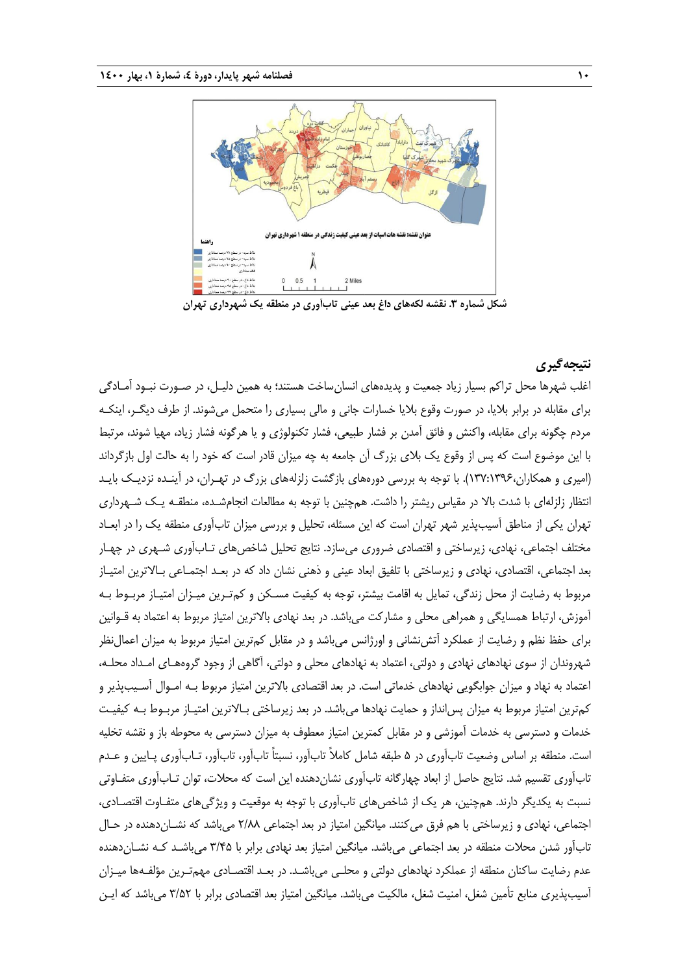

**شکل شماره .3 نقشه لکههای داغ بعد عینی تابآوری در منطقه یک شهرداری تهران**

## **نتیجهگیری**

ارلب شهرها محل تراکم بسیار زیاد جمعیت و پدیدههای انسانساخت هستند؛ به همین دلیـل، در صـورت نبـود آمـادگی برای مقابله در برابر بالیا، در صورت وقوع بالیا خسارات جانی و مالی بسیاری را متحمل میشوند. از طرف دیگـر، اینکـه مردم چگونه برای مقابله، واکنش و فائق آمدن بر فشار طبیعی، فشار تکنولوژی و یا هرگونه فشار زیاد، مهیا شوند، مرتب با این موضوع است که پس از وقوع یک بالی بزرگ آن جامعه به چه میزان قادر است که خود را به حالت اول بازگرداند )امیری و همکاران137:1396،(. با توجه به بررسی دورههای بازگشت زلزلههای بزرگ در تهـران، در آینـده نزدیـک بایـد انتظار زلزلهای با شدت باال در مقیاس ریشتر را داشت. همچنین با توجه به مطالعات انجامشـده، منطقـه یـک شـهرداری تهران یکی از مناطق آسیبپذیر شهر تهران است که این مسئله، تحلیل و بررسی میزان تابآوری منطقه یک را در ابعـاد مختلف اجتماعی، نهادی، زیرساختی و اقتصادی ضروری میسازد. نتایج تحلیل شاخصهای تـابآوری شـهری در چهـار بعد اجتماعی، اقتصادی، نهادی و زیرساختی با تلفیق ابعاد عینی و ذهنی نشان داد که در بعـد اجتمـاعی بـاالترین امتیـاز مربوط به رضایت از محل زندگی، تمایل به اقامت بیشتر، توجه به کیفیت مسـکن و کمتـرین میـزان امتیـاز مربـوط بـه آموزش، ارتباط همسایگی و همراهی محلی و مشارکت میباشد. در بعد نهادی بالاترین امتیاز مربوط به اعتماد به قـوانین برای حفظ نظم و رضایت از عملکرد آتشiنشانی و اورژانس میباشد و در مقابل کمترین امتیاز مربوط به میزان اعمالiظر شهروندان از سوی نهادهای نهادی و دولتی، اعتماد به نهادهای محلی و دولتی، آگاهی از وجود گروههـای امـداد محلـه، اعتماد به نهاد و میزان جوابگویی نهادهای خدماتی است. در بعد اقتصادی باالترین امتیاز مربو بـه امـوال آسـیبپذیر و کمترین امتیاز مربوط به میزان پس|نداز و حمایت نهادها میباشد. در بعد زیرساختی بـالاترین امتیـاز مربـوط بـه کیفیـت خدمات و دسترسی به خدمات آموزشی و در مقابل کمترین امتیاز معطوف به میزان دسترسی به محوطه باز و نقشه تخلیه است. منطقه بر اساس وضعیت تابآوری در 5 طبقه شامل کامالً تابآور، نسبتاً تابآور، تابآور، تـابآوری پـایین و عـدم تابآوری تقسیم شد. نتایج حاصل از ابعاد چهارگانه تابآوری نشاندهنده این است که محالت، توان تـابآوری متفـاوتی نسبت به یکدیگر دارند. همچنین، هر یک از شاخصهای تابآوری با توجه به موقعیت و ویژگیهای متفـاوت اقتصـادی، اجتماعی، نهادی و زیرساختی با هم فرق میکنند. میانگین امتیاز در بعد اجتماعی 2/88 میباشد که نشـاندهنده در حـال تابآور شدن محالت منطقه در بعد اجتماعی میباشد. میانگین امتیاز بعد نهادی برابر با 3/45 میباشـد کـه نشـاندهنده عدم رضایت ساکنان منطقه از عملکرد نهادهای دولتی و محلـی میباشـد. در بعـد اقتصـادی مهمتـرین مؤلفـهها میـزان آسیبپذیری منابع تأمین شغل، امنیت شغل، مالکیت میباشد. میانگین امتیاز بعد اقتصادی برابر با 3/52 میباشد که ایـن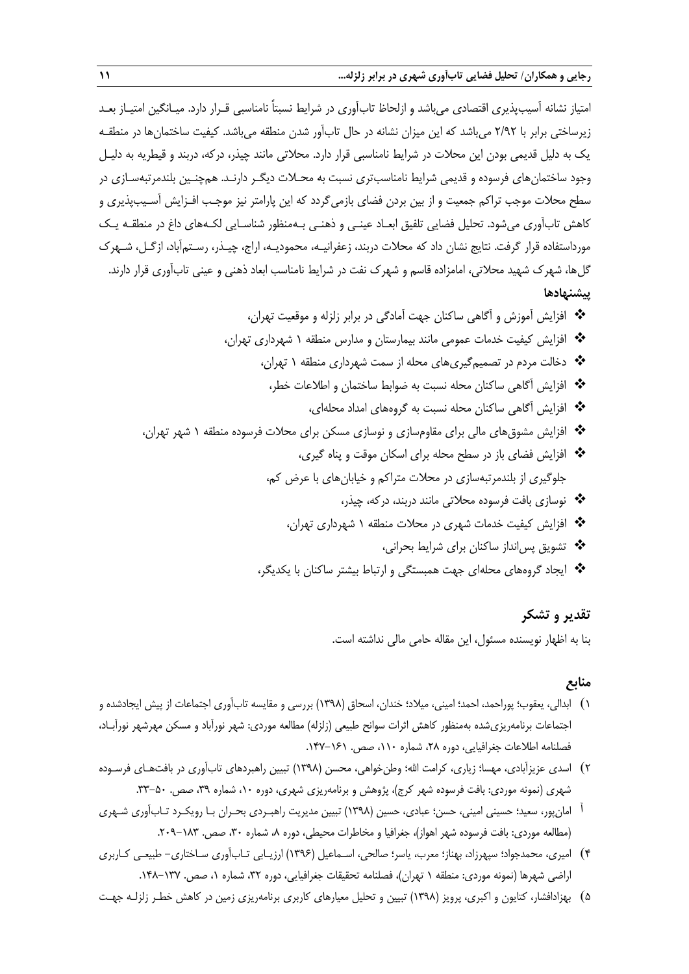امتیاز نشانه آسیبپذیری اقتصادی میباشد و ازلحاظ تابآوری در شرایط نسبتاً نامناسبی قـرار دارد. میـانگین امتیـاز بعـد زیرساختی برابر با 2/92 میباشد که این میزان نشانه در حال تابآور شدن منطقه میباشد. کیفیت ساختمانها در منطقـه یک به دلیل قدیمی بودن این محلات در شرایط نامناسبی قرار دارد. محلاتی مانند چیذر، درکه، دربند و قیطریه به دلیـل وجود ساختمان های فرسوده و قدیمی شرایط نامناسبتری نسبت به محـلات دیگـر دارنـد. همچنـین بلندمرتبهسـازی در سطح محالت موجب تراکم جمعیت و از بین بردن فضای بازمیگردد که این پارامتر نیز موجـب افـزایش آسـیبپذیری و کاهش تابآوری میشود. تحلیل فضایی تلفیق ابعـاد عینـی و ذهنـی بـهمنظور شناسـایی لکـههای داف در منطقـه یـک مورداستفاده قرار گرفت. نتایج نشان داد که محالت دربند، زعفرانیـه، محمودیـه، اراج، چیـذر، رسـتمآباد، ازگـل، شـهرك گلها، شهرک شهید محلاتی، امامزاده قاسم و شهرک نفت در شرایط نامناسب ابعاد ذهنی و عینی تابآوری قرار دارند. **پیشنهادها**

 افزایش آموزش و آگاهی ساکنان جهت آمادگی در برابر زلزله و موقعیت تهران، افزایش کیفیت خدمات عمومی مانند بیمارستان و مدارس منطقه 1 شهرداری تهران، دخالت مردم در تصمیمگیریهای محله از سمت شهرداری منطقه 1 تهران، افزایش آگاهی ساکنان محله نسبت به ضواب ساختمان و اطالعات خطر، افزایش آگاهی ساکنان محله نسبت به گروههای امداد محلهای، افزایش مشوقهای مالی برای مقاومسازی و نوسازی مسکن برای محالت فرسوده منطقه 1 شهر تهران، افزایش فضای باز در سطح محله برای اسکان موقت و پناه گیری، جلوگیری از بلندمرتبهسازی در محالت متراکم و خیابانهای با عر کم، نوسازی بافت فرسوده محالتی مانند دربند، درکه، چیذر، افزایش کیفیت خدمات شهری در محالت منطقه 1 شهرداری تهران، تشویق پسانداز ساکنان برای شرای بحرانی،

\* ایجاد گروههای محلهای جهت همبستگی و ارتباط بیشتر ساکنان با یکدیگر،

## **تقدیر و تشکر**

بنا به اظهار نویسنده مسئول، این مقاله حامی مالی نداشته است.

#### **منابع**

- 1( ابدالی، یعقوب؛ پوراحمد، احمد؛ امینی، میالد؛ خندان، اسحاق )1398( بررسی و مقایسه تابآوری اجتماعات از پیش ایجادشده و اجتماعات برنامهریزیشده بهمنظور کاهش اثرات سوانح طبیعی )زلزله( مطالعه موردی: شهر نورآباد و مسکن مهرشهر نورآبـاد، فصلنامه اطلاعات جغرافیایی، دوره ۲۸، شماره ۱۰۱۰، صص. ۱۶۱–۱۴۷.
- ۲) اسدی عزیزآبادی، مهسا؛ زیاری، کرامت الله؛ وطنخواهی، محسن (۱۳۹۸) تبیین راهبردهای تابآوری در بافتهـای فرسـوده شهری (نمونه موردی: بافت فرسوده شهر کرج)، پژوهش و برنامهریزی شهری، دوره ۱۰، شماره ۳۹، صص. ۵۰-۳۳.
- آ امانپور، سعید؛ حسینی امینی، حسن؛ عبادی، حسین )1398( تبیین مدیریت راهبـردی بحـران بـا رویکـرد تـابآوری شـهری (مطالعه موردی: بافت فرسوده شهر اهواز)، جغرافیا و مخاطرات محیطی، دوره ۸، شماره ۳۰، صص. ۱۸۳–۲۰۹.
- 4( امیری، محمدجواد؛ سپهرزاد، بهناز؛ معرب، یاسر؛ صالحی، اسـماعیل )1396( ارزیـابی تـابآوری سـاختاری- طبیعـی کـاربری اراضی شهرها (نمونه موردی: منطقه ۱ تهران)، فصلنامه تحقیقات جغرافیایی، دوره ۳۲، شماره ۱، صص. ۱۳۷–۱۴۸.
- 5( بهزادافشار، کتایون و اکبری، پرویز )1398( تبیین و تحلیل معیارهای کاربری برنامهریزی زمین در کاهش خطـر زلزلـه جهـت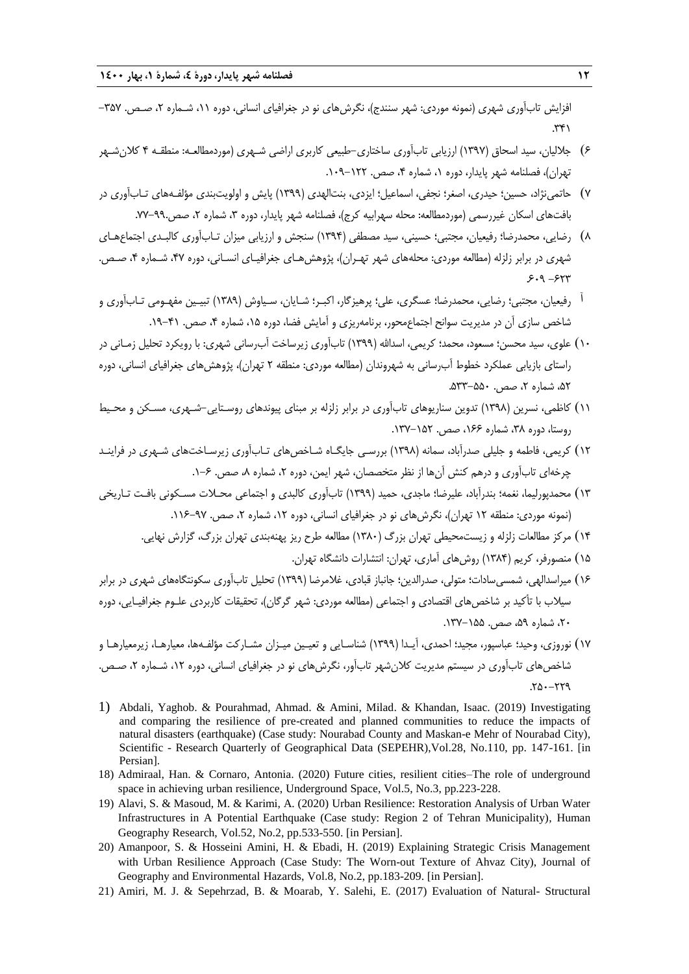افزایش تابآوری شهری (نمونه موردی: شهر سنندج)، نگرشهای نو در جغرافیای انسانی، دوره ۱۱، شـماره ۲، صـص. ۳۵۷–  $.74$ 

- 6( جاللیان، سید اسحاق )1397( ارزیابی تابآوری ساختاری-طبیعی کاربری اراضی شـهری )موردمطالعـه: منطقـه 4 کالنشـهر تهران)، فصلنامه شهر پایدار، دوره ۱، شماره ۴، صص. ۱۲۲-۱۰۹.
- 7( حاتمینژاد، حسین؛ حیدری، اصغر؛ نجفی، اسماعیل؛ ایزدی، بنتالهدی )1399( پایش و اولویتبندی مؤلفـههای تـابآوری در بافتهای اسکان غیررسمی (موردمطالعه: محله سهرابیه کرج)، فصلنامه شهر پایدار، دوره ۳، شماره ۲، صص.۹۹-۷۷.
- 8( رضایی، محمدرضا؛ رفیعیان، مجتبی؛ حسینی، سید مصطفی )1394( سنجش و ارزیابی میزان تـابآوری کالبـدی اجتماعهـای شهری در برابر زلزله (مطالعه موردی: محلههای شهر تهـران)، پژوهشهـای جغرافیـای انسـانی، دوره ۴۷، شـماره ۴، صـص.  $5.9 - 514$
- آ رفیعیان، مجتبی؛ رضایی، محمدرضا؛ عسگری، علی؛ پرهیزگار، اکبـر؛ شـایان، سـیاوش )1389( تبیـین مفهـومی تـابآوری و شاخص سازی آن در مدیریت سوانح اجتماعمحور، برنامهریزی و آمایش فضا، دوره ۱۵، شماره ۴، صص. ۴۱–۱۹.
- ۱۰) علوی، سید محسن؛ مسعود، محمد؛ کریمی، اسدالله (۱۳۹۹) تابآوری زیرساخت آبرسانی شهری: با رویکرد تحلیل زمـانی در راستای بازیابی عملکرد خطوط آب رسانی به شهروندان (مطالعه موردی: منطقه ۲ تهران)، پژوهش های جغرافیای انسانی، دوره ۵۲، شماره ۲، صص. ۵۵۰-۵۳۳.
- ۱۱) کاظمی، نسرین (۱۳۹۸) تدوین سناریوهای تابآوری در برابر زلزله بر مبنای پیوندهای روسـتایی-شـهری، مسـکن و محـیط روستا، دوره ،38 شماره ،166 صص. .137-152
- 12( کریمی، فاطمه و جلیلی صدرآباد، سمانه )1398( بررسـی جایگـاه شـاخصهای تـابآوری زیرسـاختهای شـهری در فراینـد چرخهای تابآوری و درهم کنش آنها از نظر متخصصان، شهر ایمن، دوره ۲، شماره ۸، صص. ۶–۱.
- 13( محمدپورلیما، نغمه؛ بندرآباد، علیرضا؛ ماجدی، حمید )1399( تابآوری کالبدی و اجتماعی محـالت مسـکونی بافـت تـاریخی (نمونه موردی: منطقه ۱۲ تهران)، نگرش های نو در جغرافیای انسانی، دوره ۱۲، شماره ۲، صص. ۹۷-۱۶-۱۱.
	- 14( مرکز مطالعات زلزله و زیستمحیطی تهران بزرگ )1380( مطالعه طرح ریز پهنهبندی تهران بزرگ، گزارش نهایی.
		- 15( منصورفر، کریم )1384( روشهای آماری، تهران: انتشارات دانشگاه تهران.
- ۱۶) میراسدالهی، شمسی سادات؛ متولی، صدرالدین؛ جانباز قبادی، غلامرضا (۱۳۹۹) تحلیل تابآوری سکونتگاههای شهری در برابر سیلاب با تأکید بر شاخص های اقتصادی و اجتماعی (مطالعه موردی: شهر گرگان)، تحقیقات کاربردی علـوم جغرافیـایی، دوره ،20 شماره ،59 صص. .137-155
- 17( نوروزی، وحید؛ عباسپور، مجید؛ احمدی، آیـدا )1399( شناسـایی و تعیـین میـزان مشـارکت مؤلفـهها، معیارهـا، زیرمعیارهـا و شاخص های تابآوری در سیستم مدیریت کلان شهر تابآور، نگرش های نو در جغرافیای انسانی، دوره ۱۲، شـماره ۲، صـص.  $Y_0 - YY_9$
- 1) Abdali, Yaghob. & Pourahmad, Ahmad. & Amini, Milad. & Khandan, Isaac. (2019) Investigating and comparing the resilience of pre-created and planned communities to reduce the impacts of natural disasters (earthquake) (Case study: Nourabad County and Maskan-e Mehr of Nourabad City), Scientific - Research Quarterly of Geographical Data (SEPEHR),Vol.28, No.110, pp. 147-161. [in Persian].
- 18) Admiraal, Han. & Cornaro, Antonia. (2020) Future cities, resilient cities–The role of underground space in achieving urban resilience, Underground Space, Vol.5, No.3, pp.223-228.
- 19) Alavi, S. & Masoud, M. & Karimi, A. (2020) Urban Resilience: Restoration Analysis of Urban Water Infrastructures in A Potential Earthquake (Case study: Region 2 of Tehran Municipality), Human Geography Research, Vol.52, No.2, pp.533-550. [in Persian].
- 20) Amanpoor, S. & Hosseini Amini, H. & Ebadi, H. (2019) Explaining Strategic Crisis Management with Urban Resilience Approach (Case Study: The Worn-out Texture of Ahvaz City), Journal of Geography and Environmental Hazards, Vol.8, No.2, pp.183-209. [in Persian].
- 21) Amiri, M. J. & Sepehrzad, B. & Moarab, Y. Salehi, E. (2017) Evaluation of Natural- Structural